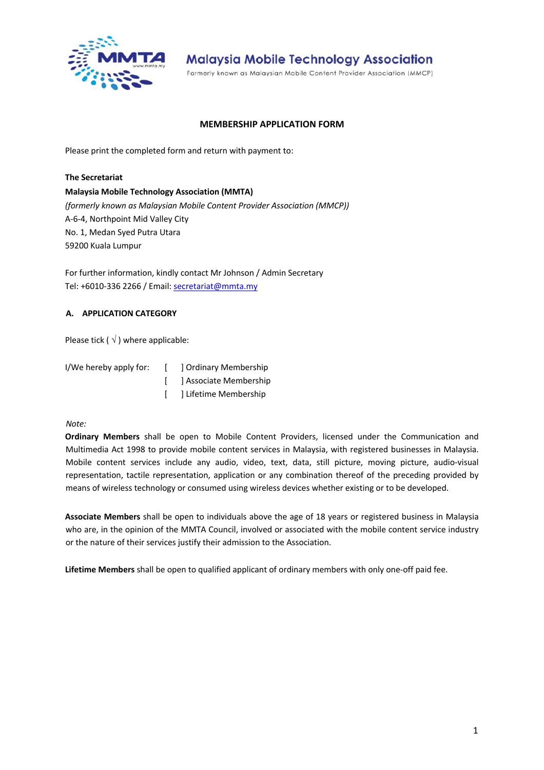

Formerly known as Malaysian Mobile Content Provider Association (MMCP)

### **MEMBERSHIP APPLICATION FORM**

Please print the completed form and return with payment to:

## **The Secretariat Malaysia Mobile Technology Association (MMTA)**  *(formerly known as Malaysian Mobile Content Provider Association (MMCP))* A-6-4, Northpoint Mid Valley City No. 1, Medan Syed Putra Utara 59200 Kuala Lumpur

For further information, kindly contact Mr Johnson / Admin Secretary Tel: +6010-336 2266 / Email: secretariat@mmta.my

## **A. APPLICATION CATEGORY**

Please tick ( $\sqrt{}$ ) where applicable:

| I/We hereby apply for: | $\mathbf{1}$ | 1 Ordinary Membership    |  |
|------------------------|--------------|--------------------------|--|
|                        |              | [ ] Associate Membership |  |
|                        |              | [ ] Lifetime Membership  |  |

## *Note:*

**Ordinary Members** shall be open to Mobile Content Providers, licensed under the Communication and Multimedia Act 1998 to provide mobile content services in Malaysia, with registered businesses in Malaysia. Mobile content services include any audio, video, text, data, still picture, moving picture, audio-visual representation, tactile representation, application or any combination thereof of the preceding provided by means of wireless technology or consumed using wireless devices whether existing or to be developed.

**Associate Members** shall be open to individuals above the age of 18 years or registered business in Malaysia who are, in the opinion of the MMTA Council, involved or associated with the mobile content service industry or the nature of their services justify their admission to the Association.

**Lifetime Members** shall be open to qualified applicant of ordinary members with only one-off paid fee.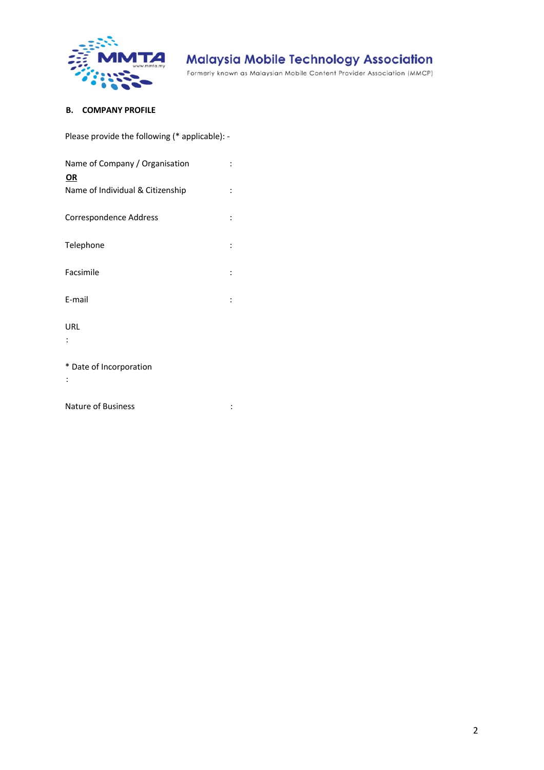

Formerly known as Malaysian Mobile Content Provider Association (MMCP)

## **B. COMPANY PROFILE**

Please provide the following (\* applicable): -

| Name of Company / Organisation                |  |
|-----------------------------------------------|--|
| <b>OR</b><br>Name of Individual & Citizenship |  |
| Correspondence Address                        |  |
| Telephone                                     |  |
| Facsimile                                     |  |
| E-mail                                        |  |
| URL                                           |  |
| * Date of Incorporation                       |  |

Nature of Business in the set of  $\mathsf{B}$  and  $\mathsf{B}$  is the set of  $\mathsf{B}$  is the set of  $\mathsf{B}$  is the set of  $\mathsf{B}$  is the set of  $\mathsf{B}$  is the set of  $\mathsf{B}$  is the set of  $\mathsf{B}$  is the set of  $\mathsf{B}$  is the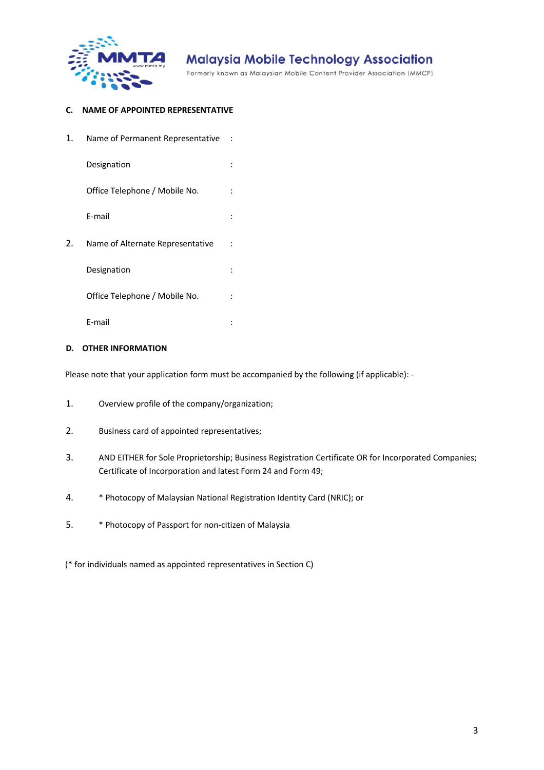

Formerly known as Malaysian Mobile Content Provider Association (MMCP)

## **C. NAME OF APPOINTED REPRESENTATIVE**

| 1. | Name of Permanent Representative |  |
|----|----------------------------------|--|
|    | Designation                      |  |
|    | Office Telephone / Mobile No.    |  |
|    | E-mail                           |  |
| 2. | Name of Alternate Representative |  |
|    | Designation                      |  |
|    | Office Telephone / Mobile No.    |  |
|    | E-mail                           |  |

## **D. OTHER INFORMATION**

Please note that your application form must be accompanied by the following (if applicable): -

- 1. Overview profile of the company/organization;
- 2. Business card of appointed representatives;
- 3. AND EITHER for Sole Proprietorship; Business Registration Certificate OR for Incorporated Companies; Certificate of Incorporation and latest Form 24 and Form 49;
- 4. \* Photocopy of Malaysian National Registration Identity Card (NRIC); or
- 5. \* Photocopy of Passport for non-citizen of Malaysia

(\* for individuals named as appointed representatives in Section C)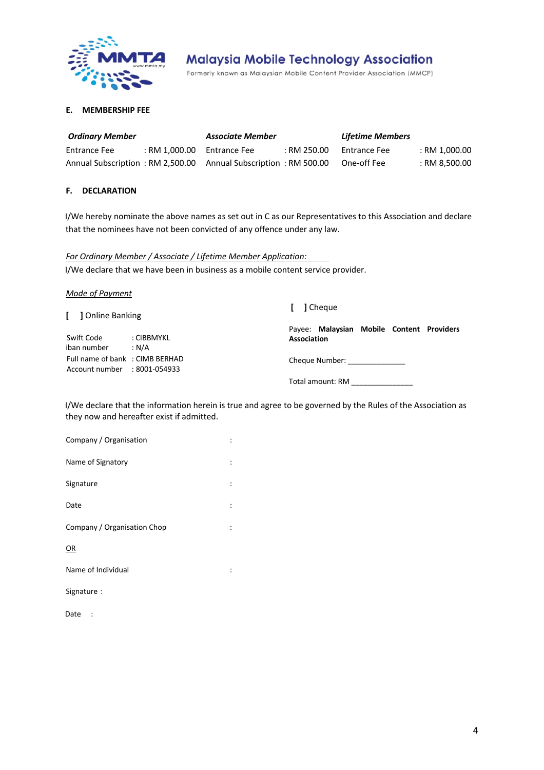

Formerly known as Malaysian Mobile Content Provider Association (MMCP)

#### **E. MEMBERSHIP FEE**

| <b>Ordinary Member</b> |                              | Associate Member                                                |             | <b>Lifetime Members</b> |               |
|------------------------|------------------------------|-----------------------------------------------------------------|-------------|-------------------------|---------------|
| <b>Entrance Fee</b>    | $:$ RM 1.000.00 Entrance Fee |                                                                 | : RM 250.00 | Entrance Fee            | : RM 1,000.00 |
|                        |                              | Annual Subscription: RM 2,500.00 Annual Subscription: RM 500.00 |             | One-off Fee             | : RM 8.500.00 |

#### **F. DECLARATION**

I/We hereby nominate the above names as set out in C as our Representatives to this Association and declare that the nominees have not been convicted of any offence under any law.

*For Ordinary Member / Associate / Lifetime Member Application:* I/We declare that we have been in business as a mobile content service provider.

*Mode of Payment*

**[ ]** Online Banking

Swift Code : CIBBMYKL iban number : N/A Full name of bank : CIMB BERHAD Account number : 8001-054933

**[ ]** Cheque

Payee: **Malaysian Mobile Content Providers Association** 

Cheque Number: \_\_\_\_\_\_\_\_\_\_\_\_\_\_

Total amount: RM \_\_\_\_\_\_\_\_\_\_\_\_\_\_\_

I/We declare that the information herein is true and agree to be governed by the Rules of the Association as they now and hereafter exist if admitted.

| Company / Organisation      |                      |
|-----------------------------|----------------------|
| Name of Signatory           | $\ddot{\phantom{a}}$ |
| Signature                   | ÷                    |
| Date                        |                      |
| Company / Organisation Chop | $\ddot{\phantom{a}}$ |
| OR                          |                      |
| Name of Individual          |                      |
| Signature :                 |                      |
|                             |                      |

Date :